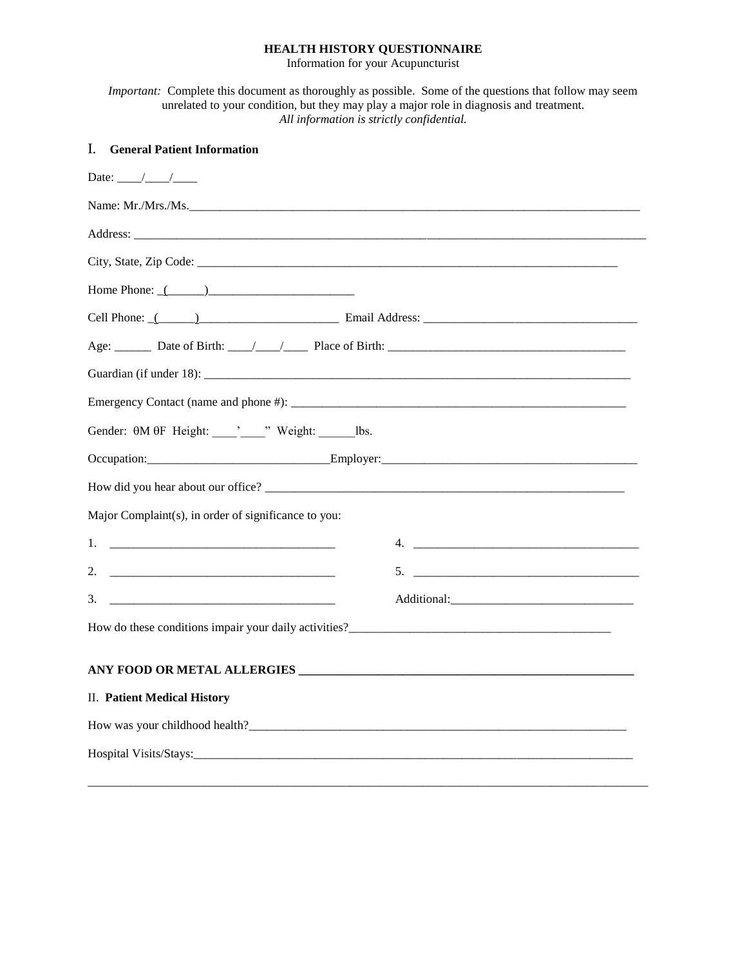## **HEALTH HISTORY QUESTIONNAIRE**

Information for your Acupuncturist

*Important:* Complete this document as thoroughly as possible. Some of the questions that follow may seem unrelated to your condition, but they may play a major role in diagnosis and treatment. *All information is strictly confidential.*

| <b>I.</b> General Patient Information                            |                                 |  |  |  |
|------------------------------------------------------------------|---------------------------------|--|--|--|
|                                                                  |                                 |  |  |  |
|                                                                  | Name: Mr./Mrs./Ms.              |  |  |  |
|                                                                  |                                 |  |  |  |
|                                                                  |                                 |  |  |  |
| Home Phone: $($ $)$                                              |                                 |  |  |  |
|                                                                  |                                 |  |  |  |
|                                                                  |                                 |  |  |  |
|                                                                  |                                 |  |  |  |
|                                                                  |                                 |  |  |  |
| Gender: $\theta M \theta F$ Height: veight: veight: _______ lbs. |                                 |  |  |  |
|                                                                  | Occupation: Employer: Employer: |  |  |  |
|                                                                  |                                 |  |  |  |
| Major Complaint(s), in order of significance to you:             |                                 |  |  |  |
|                                                                  |                                 |  |  |  |
|                                                                  |                                 |  |  |  |
|                                                                  |                                 |  |  |  |
|                                                                  |                                 |  |  |  |
|                                                                  |                                 |  |  |  |
| <b>II.</b> Patient Medical History                               |                                 |  |  |  |
|                                                                  |                                 |  |  |  |
|                                                                  |                                 |  |  |  |
|                                                                  |                                 |  |  |  |